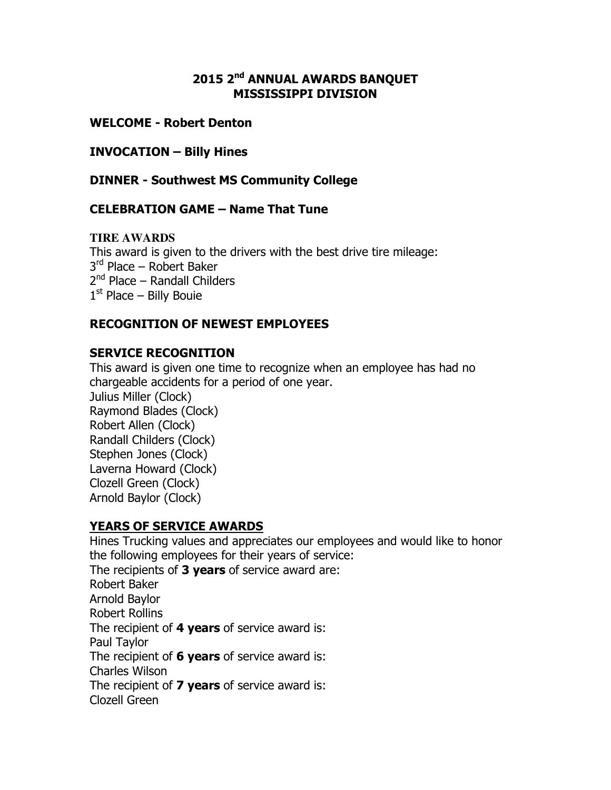### 2015 2<sup>nd</sup> ANNUAL AWARDS BANOUET MISSISSIPPI DIVISION

### WELCOME - Robert Denton

#### INVOCATION – Billy Hines

DINNER - Southwest MS Community College

### CELEBRATION GAME – Name That Tune

#### **TIRE AWARDS**

This award is given to the drivers with the best drive tire mileage: 3<sup>rd</sup> Place – Robert Baker 2<sup>nd</sup> Place – Randall Childers 1<sup>st</sup> Place – Billy Bouie

### RECOGNITION OF NEWEST EMPLOYEES

#### SERVICE RECOGNITION

This award is given one time to recognize when an employee has had no chargeable accidents for a period of one year.

Julius Miller (Clock) Raymond Blades (Clock) Robert Allen (Clock) Randall Childers (Clock) Stephen Jones (Clock) Laverna Howard (Clock) Clozell Green (Clock) Arnold Baylor (Clock)

### YEARS OF SERVICE AWARDS

Hines Trucking values and appreciates our employees and would like to honor the following employees for their years of service: The recipients of  $3$  years of service award are: Robert Baker Arnold Baylor Robert Rollins The recipient of 4 years of service award is: Paul Taylor The recipient of 6 years of service award is: Charles Wilson The recipient of **7 years** of service award is: Clozell Green